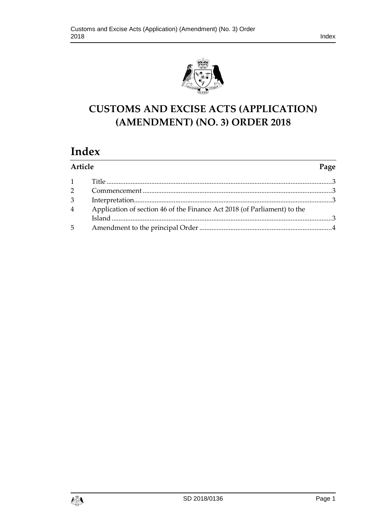



# **CUSTOMS AND EXCISE ACTS (APPLICATION) (AMENDMENT) (NO. 3) ORDER 2018**

# **Index**

| Article        |                                                                          | Page |
|----------------|--------------------------------------------------------------------------|------|
|                |                                                                          |      |
| $2^{\sim}$     |                                                                          |      |
| $\mathfrak{Z}$ |                                                                          |      |
| $4\degree$     | Application of section 46 of the Finance Act 2018 (of Parliament) to the |      |
|                |                                                                          |      |
| $5^{\circ}$    |                                                                          |      |

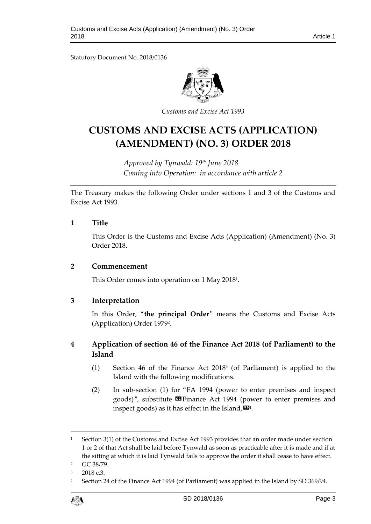Statutory Document No. 2018/0136



*Customs and Excise Act 1993*

# **CUSTOMS AND EXCISE ACTS (APPLICATION) (AMENDMENT) (NO. 3) ORDER 2018**

*Approved by Tynwald: 19th June 2018 Coming into Operation: in accordance with article 2*

The Treasury makes the following Order under sections 1 and 3 of the Customs and Excise Act 1993.

## <span id="page-2-0"></span>**1 Title**

This Order is the Customs and Excise Acts (Application) (Amendment) (No. 3) Order 2018.

### <span id="page-2-1"></span>**2 Commencement**

This Order comes into operation on 1 May 2018<sup>1</sup> .

# <span id="page-2-2"></span>**3 Interpretation**

In this Order, "**the principal Order**" means the Customs and Excise Acts (Application) Order 1979<sup>2</sup> .

# <span id="page-2-3"></span>**4 Application of section 46 of the Finance Act 2018 (of Parliament) to the Island**

- (1) Section 46 of the Finance Act 2018<sup>3</sup> (of Parliament) is applied to the Island with the following modifications.
- (2) In sub-section (1) for "FA 1994 (power to enter premises and inspect goods)", substitute **II** Finance Act 1994 (power to enter premises and inspect goods) as it has effect in the Island,  $\pmb{\boxtimes}^{\!4}$ .

<sup>4</sup> Section 24 of the Finance Act 1994 (of Parliament) was applied in the Island by SD 369/94.



 $\overline{a}$ 

<sup>&</sup>lt;sup>1</sup> Section 3(1) of the Customs and Excise Act 1993 provides that an order made under section 1 or 2 of that Act shall be laid before Tynwald as soon as practicable after it is made and if at the sitting at which it is laid Tynwald fails to approve the order it shall cease to have effect.

<sup>2</sup> GC 38/79.

<sup>3</sup> 2018 c.3.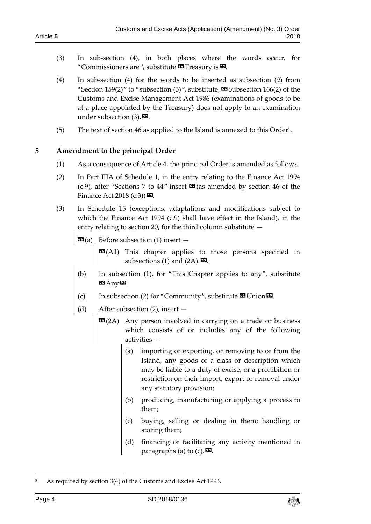- (3) In sub-section (4), in both places where the words occur, for "Commissioners are", substitute  $\blacksquare$  Treasury is  $\blacksquare$ .
- (4) In sub-section (4) for the words to be inserted as subsection (9) from "Section 159(2)" to "subsection (3)", substitute,  $\Xi$ Subsection 166(2) of the Customs and Excise Management Act 1986 (examinations of goods to be at a place appointed by the Treasury) does not apply to an examination under subsection  $(3)$ .
- (5) The text of section 46 as applied to the Island is annexed to this Order<sup>5</sup> .

<span id="page-3-0"></span>**5 Amendment to the principal Order**

- (1) As a consequence of Article 4, the principal Order is amended as follows.
- (2) In Part IIIA of Schedule 1, in the entry relating to the Finance Act 1994 (c.9), after "Sections 7 to 44" insert  $\mathbb{Z}$  (as amended by section 46 of the Finance Act 2018 (c.3)) $\mathbf{E}$ .
- (3) In Schedule 15 (exceptions, adaptations and modifications subject to which the Finance Act 1994 (c.9) shall have effect in the Island), in the entry relating to section 20, for the third column substitute —
	- **Before subsection (1) insert**  $-$

**EE**(A1) This chapter applies to those persons specified in subsections (1) and (2A).  $\Box$ 

- (b) In subsection (1), for "This Chapter applies to any", substitute  $\mathbf{G}$  Any $\mathbf{D}$ .
- (c) In subsection (2) for "Community", substitute  $\mathbf{C}$  Union  $\mathbf{D}$ .
- (d) After subsection (2), insert
	- **EE**(2A) Any person involved in carrying on a trade or business which consists of or includes any of the following activities —
		- (a) importing or exporting, or removing to or from the Island, any goods of a class or description which may be liable to a duty of excise, or a prohibition or restriction on their import, export or removal under any statutory provision;
		- (b) producing, manufacturing or applying a process to them;
		- (c) buying, selling or dealing in them; handling or storing them;
		- (d) financing or facilitating any activity mentioned in paragraphs (a) to (c).  $\mathbf{E}$ .

-



<sup>5</sup> As required by section 3(4) of the Customs and Excise Act 1993.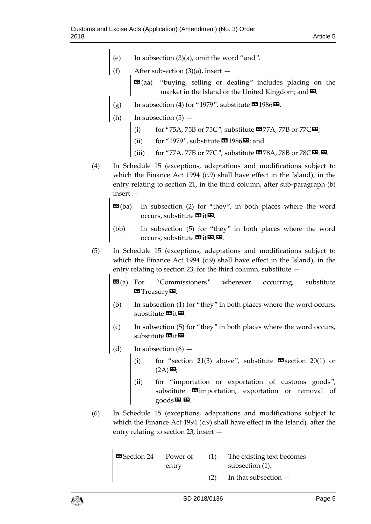- (e) In subsection (3)(a), omit the word "and".
- (f) After subsection  $(3)(a)$ , insert  $-$ 
	- $\mathbf{G}(aa)$  "buying, selling or dealing" includes placing on the market in the Island or the United Kingdom; and  $\Sigma$ .
- (g) In subsection (4) for "1979", substitute  $\text{1986} \,\text{m}$ .
- (h) In subsection  $(5)$ 
	- (i) for "75A, 75B or 75C", substitute  $\mathbf{C}$  77A, 77B or 77C $\mathbf{E}$ ;
	- for "1979", substitute  $\mathbf{C}$ 1986 $\mathbf{E}$ ; and
	- (iii) for "77A, 77B or 77C", substitute  $\Box$ 78A, 78B or 78C $\Box$ .
- (4) In Schedule 15 (exceptions, adaptations and modifications subject to which the Finance Act 1994 (c.9) shall have effect in the Island), in the entry relating to section 21, in the third column, after sub-paragraph (b) insert —
	- **EE**(ba) In subsection (2) for "they", in both places where the word occurs, substitute  $\mathbf{G}$  it  $\mathbf{D}$ .
	- (bb) In subsection (5) for "they" in both places where the word occurs, substitute  $\mathbf{C}$  it  $\mathbf{D}$ .  $\mathbf{D}$ .
- (5) In Schedule 15 (exceptions, adaptations and modifications subject to which the Finance Act 1994 (c.9) shall have effect in the Island), in the entry relating to section 23, for the third column, substitute  $-$ 
	- $$ **EST** Treasury **D**.
	- (b) In subsection (1) for "they" in both places where the word occurs, substitute  $\mathbf{G}$ it $\mathbf{E}$ .
	- (c) In subsection (5) for "they" in both places where the word occurs, substitute  $\mathbf{w}_{it}$  $\mathbf{w}_{i}$ .
	- (d) In subsection  $(6)$ 
		- (i) for "section 21(3) above", substitute  $\mathbf{\mathfrak{S}}$  section 20(1) or  $(2A)$  $\n *Q*$ ;
		- (ii) for "importation or exportation of customs goods", substitute  $\blacksquare$ importation, exportation or removal of  $\mathbf{g}$ oods $\mathbf{E}$ . $\mathbf{E}$ .
- (6) In Schedule 15 (exceptions, adaptations and modifications subject to which the Finance Act 1994 (c.9) shall have effect in the Island), after the entry relating to section 23, insert —

| <b>B</b> Section 24 Power of |       | (1) | The existing text becomes |
|------------------------------|-------|-----|---------------------------|
|                              | entry |     | subsection (1).           |
|                              |       | (2) | In that subsection $-$    |

 $\mathbf{I}$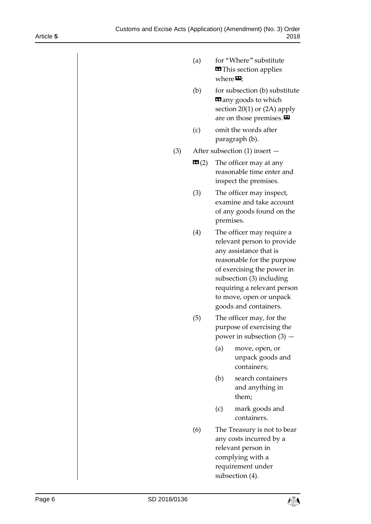- (a) for "Where" substitute **«This section applies** where $\boldsymbol{\Sigma}$ ;
- (b) for subsection (b) substitute **E** any goods to which section 20(1) or (2A) apply are on those premises.
- (c) omit the words after paragraph (b).
- (3) After subsection (1) insert
	- **The officer may at any** reasonable time enter and inspect the premises.
	- (3) The officer may inspect, examine and take account of any goods found on the premises.
	- (4) The officer may require a relevant person to provide any assistance that is reasonable for the purpose of exercising the power in subsection (3) including requiring a relevant person to move, open or unpack goods and containers.
	- (5) The officer may, for the purpose of exercising the power in subsection (3) —
		- (a) move, open, or unpack goods and containers;
		- (b) search containers and anything in them;
		- (c) mark goods and containers.
	- (6) The Treasury is not to bear any costs incurred by a relevant person in complying with a requirement under subsection (4).

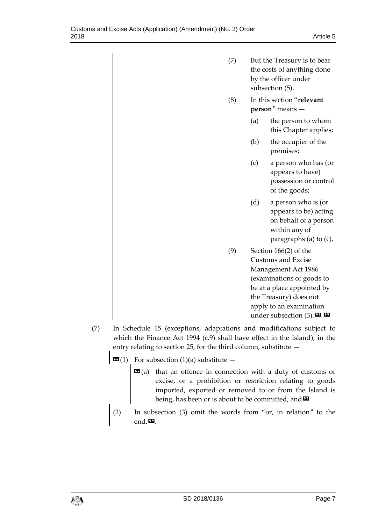- (7) But the Treasury is to bear the costs of anything done by the officer under subsection (5). (8) In this section "**relevant person**" means — (a) the person to whom this Chapter applies; (b) the occupier of the premises; (c) a person who has (or appears to have) possession or control of the goods; (d) a person who is (or appears to be) acting on behalf of a person within any of paragraphs (a) to (c). (9) Section 166(2) of the Customs and Excise Management Act 1986 (examinations of goods to be at a place appointed by the Treasury) does not apply to an examination
- (7) In Schedule 15 (exceptions, adaptations and modifications subject to which the Finance Act 1994 (c.9) shall have effect in the Island), in the entry relating to section 25, for the third column, substitute —
	- $\mathbf{G}(1)$  For subsection (1)(a) substitute
		- **that an offence in connection with a duty of customs or** excise, or a prohibition or restriction relating to goods imported, exported or removed to or from the Island is being, has been or is about to be committed, and  $\Sigma$ .

under subsection  $(3)$ .  $\mathbf{\mathbf{\Sigma}}$ .  $\mathbf{\mathbf{\Sigma}}$ 

(2) In subsection (3) omit the words from "or, in relation" to the end  $\boldsymbol{\Sigma}$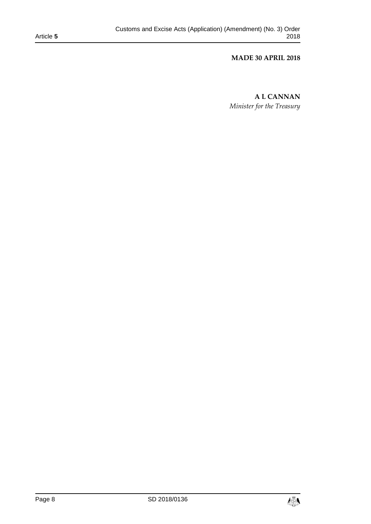### **MADE 30 APRIL 2018**

**A L CANNAN** *Minister for the Treasury*

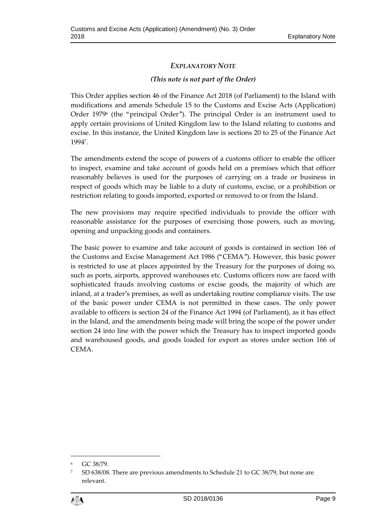# *EXPLANATORY NOTE*

## *(This note is not part of the Order)*

This Order applies section 46 of the Finance Act 2018 (of Parliament) to the Island with modifications and amends Schedule 15 to the Customs and Excise Acts (Application) Order 1979<sup>6</sup> (the "principal Order"). The principal Order is an instrument used to apply certain provisions of United Kingdom law to the Island relating to customs and excise. In this instance, the United Kingdom law is sections 20 to 25 of the Finance Act 1994<sup>7</sup> .

The amendments extend the scope of powers of a customs officer to enable the officer to inspect, examine and take account of goods held on a premises which that officer reasonably believes is used for the purposes of carrying on a trade or business in respect of goods which may be liable to a duty of customs, excise, or a prohibition or restriction relating to goods imported, exported or removed to or from the Island.

The new provisions may require specified individuals to provide the officer with reasonable assistance for the purposes of exercising those powers, such as moving, opening and unpacking goods and containers.

The basic power to examine and take account of goods is contained in section 166 of the Customs and Excise Management Act 1986 ("CEMA"). However, this basic power is restricted to use at places appointed by the Treasury for the purposes of doing so, such as ports, airports, approved warehouses etc. Customs officers now are faced with sophisticated frauds involving customs or excise goods, the majority of which are inland, at a trader's premises, as well as undertaking routine compliance visits. The use of the basic power under CEMA is not permitted in these cases. The only power available to officers is section 24 of the Finance Act 1994 (of Parliament), as it has effect in the Island, and the amendments being made will bring the scope of the power under section 24 into line with the power which the Treasury has to inspect imported goods and warehoused goods, and goods loaded for export as stores under section 166 of CEMA.

<sup>7</sup> SD 638/08. There are previous amendments to Schedule 21 to GC 38/79, but none are relevant.



 $\overline{a}$ 

<sup>6</sup> GC 38/79.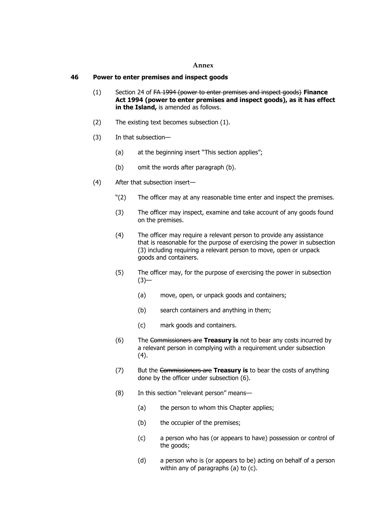#### **Annex**

### **46 Power to enter premises and inspect goods**

- (1) Section 24 of FA 1994 (power to enter premises and inspect goods) **Finance Act 1994 (power to enter premises and inspect goods), as it has effect in the Island,** is amended as follows.
- (2) The existing text becomes subsection (1).
- (3) In that subsection—
	- (a) at the beginning insert "This section applies";
	- (b) omit the words after paragraph (b).
- (4) After that subsection insert—
	- "(2) The officer may at any reasonable time enter and inspect the premises.
	- (3) The officer may inspect, examine and take account of any goods found on the premises.
	- (4) The officer may require a relevant person to provide any assistance that is reasonable for the purpose of exercising the power in subsection (3) including requiring a relevant person to move, open or unpack goods and containers.
	- (5) The officer may, for the purpose of exercising the power in subsection  $(3)$ —
		- (a) move, open, or unpack goods and containers;
		- (b) search containers and anything in them;
		- (c) mark goods and containers.
	- (6) The Commissioners are **Treasury is** not to bear any costs incurred by a relevant person in complying with a requirement under subsection (4).
	- (7) But the Commissioners are **Treasury is** to bear the costs of anything done by the officer under subsection (6).
	- (8) In this section "relevant person" means—
		- (a) the person to whom this Chapter applies;
		- (b) the occupier of the premises;
		- (c) a person who has (or appears to have) possession or control of the goods;
		- (d) a person who is (or appears to be) acting on behalf of a person within any of paragraphs (a) to (c).